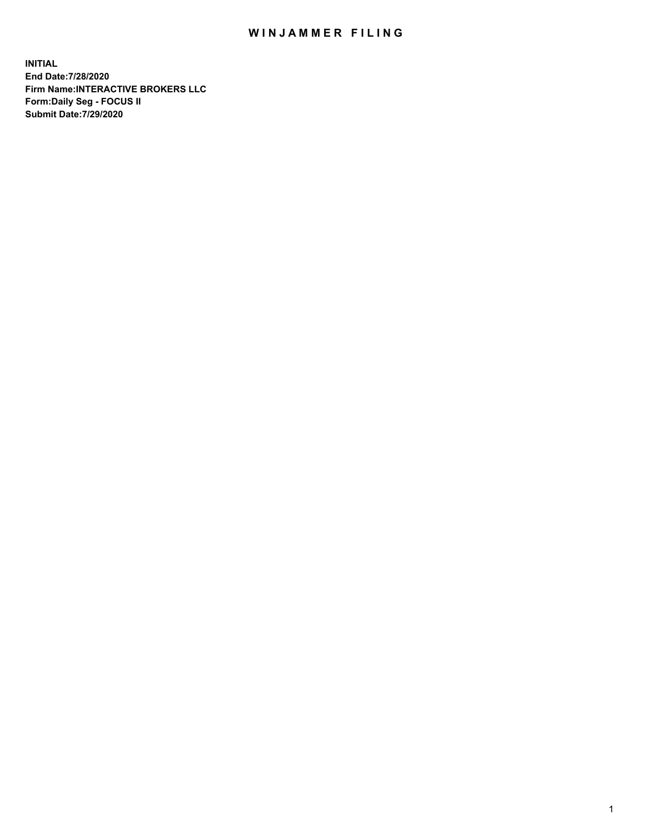## WIN JAMMER FILING

**INITIAL End Date:7/28/2020 Firm Name:INTERACTIVE BROKERS LLC Form:Daily Seg - FOCUS II Submit Date:7/29/2020**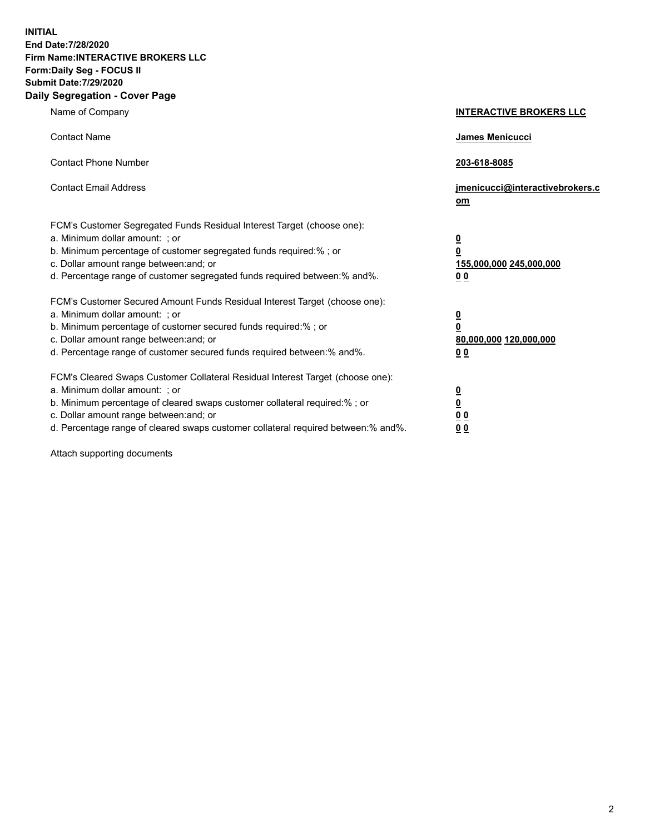**INITIAL End Date:7/28/2020 Firm Name:INTERACTIVE BROKERS LLC Form:Daily Seg - FOCUS II Submit Date:7/29/2020 Daily Segregation - Cover Page**

| Name of Company                                                                                                                                                                                                                                                                                                                | <b>INTERACTIVE BROKERS LLC</b>                                                     |
|--------------------------------------------------------------------------------------------------------------------------------------------------------------------------------------------------------------------------------------------------------------------------------------------------------------------------------|------------------------------------------------------------------------------------|
| <b>Contact Name</b>                                                                                                                                                                                                                                                                                                            | James Menicucci                                                                    |
| <b>Contact Phone Number</b>                                                                                                                                                                                                                                                                                                    | 203-618-8085                                                                       |
| <b>Contact Email Address</b>                                                                                                                                                                                                                                                                                                   | jmenicucci@interactivebrokers.c<br>om                                              |
| FCM's Customer Segregated Funds Residual Interest Target (choose one):<br>a. Minimum dollar amount: ; or<br>b. Minimum percentage of customer segregated funds required:% ; or<br>c. Dollar amount range between: and; or<br>d. Percentage range of customer segregated funds required between:% and%.                         | $\overline{\mathbf{0}}$<br>$\pmb{0}$<br>155,000,000 245,000,000<br>0 <sub>0</sub>  |
| FCM's Customer Secured Amount Funds Residual Interest Target (choose one):<br>a. Minimum dollar amount: ; or<br>b. Minimum percentage of customer secured funds required:% ; or<br>c. Dollar amount range between: and; or<br>d. Percentage range of customer secured funds required between:% and%.                           | $\overline{\mathbf{0}}$<br>$\overline{\mathbf{0}}$<br>80,000,000 120,000,000<br>00 |
| FCM's Cleared Swaps Customer Collateral Residual Interest Target (choose one):<br>a. Minimum dollar amount: ; or<br>b. Minimum percentage of cleared swaps customer collateral required:% ; or<br>c. Dollar amount range between: and; or<br>d. Percentage range of cleared swaps customer collateral required between:% and%. | $\frac{0}{0}$<br>0 <sub>0</sub><br>0 <sub>0</sub>                                  |

Attach supporting documents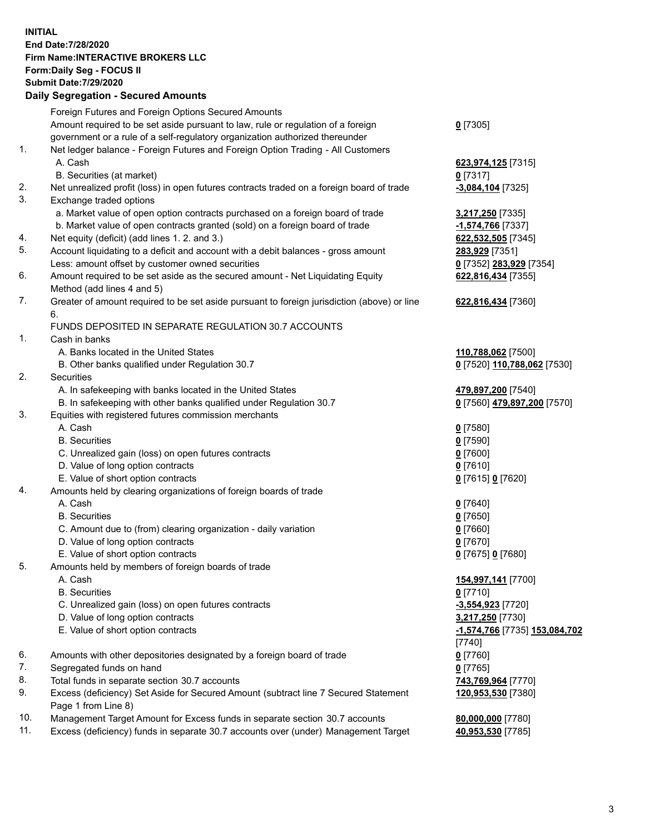**INITIAL End Date:7/28/2020 Firm Name:INTERACTIVE BROKERS LLC Form:Daily Seg - FOCUS II Submit Date:7/29/2020 Daily Segregation - Secured Amounts**

|     | Daily Ocglegation - Occuled Anioants                                                        |                               |
|-----|---------------------------------------------------------------------------------------------|-------------------------------|
|     | Foreign Futures and Foreign Options Secured Amounts                                         |                               |
|     | Amount required to be set aside pursuant to law, rule or regulation of a foreign            | $0$ [7305]                    |
|     | government or a rule of a self-regulatory organization authorized thereunder                |                               |
| 1.  | Net ledger balance - Foreign Futures and Foreign Option Trading - All Customers             |                               |
|     | A. Cash                                                                                     | 623,974,125 [7315]            |
|     | B. Securities (at market)                                                                   | $0$ [7317]                    |
| 2.  | Net unrealized profit (loss) in open futures contracts traded on a foreign board of trade   | $-3,084,104$ [7325]           |
| 3.  | Exchange traded options                                                                     |                               |
|     | a. Market value of open option contracts purchased on a foreign board of trade              | 3,217,250 [7335]              |
|     | b. Market value of open contracts granted (sold) on a foreign board of trade                | -1,574,766 [7337]             |
| 4.  | Net equity (deficit) (add lines 1. 2. and 3.)                                               | 622,532,505 [7345]            |
| 5.  | Account liquidating to a deficit and account with a debit balances - gross amount           | 283,929 [7351]                |
|     | Less: amount offset by customer owned securities                                            | 0 [7352] 283,929 [7354]       |
| 6.  | Amount required to be set aside as the secured amount - Net Liquidating Equity              | 622,816,434 [7355]            |
|     | Method (add lines 4 and 5)                                                                  |                               |
| 7.  | Greater of amount required to be set aside pursuant to foreign jurisdiction (above) or line | 622,816,434 [7360]            |
|     | 6.                                                                                          |                               |
|     | FUNDS DEPOSITED IN SEPARATE REGULATION 30.7 ACCOUNTS                                        |                               |
| 1.  | Cash in banks                                                                               |                               |
|     | A. Banks located in the United States                                                       | 110,788,062 [7500]            |
|     | B. Other banks qualified under Regulation 30.7                                              | 0 [7520] 110,788,062 [7530]   |
| 2.  | Securities                                                                                  |                               |
|     | A. In safekeeping with banks located in the United States                                   | 479,897,200 [7540]            |
|     | B. In safekeeping with other banks qualified under Regulation 30.7                          | 0 [7560] 479,897,200 [7570]   |
| 3.  | Equities with registered futures commission merchants                                       |                               |
|     | A. Cash                                                                                     | $0$ [7580]                    |
|     | <b>B.</b> Securities                                                                        | $0$ [7590]                    |
|     | C. Unrealized gain (loss) on open futures contracts                                         | $0$ [7600]                    |
|     | D. Value of long option contracts                                                           | $0$ [7610]                    |
|     | E. Value of short option contracts                                                          | 0 [7615] 0 [7620]             |
| 4.  | Amounts held by clearing organizations of foreign boards of trade                           |                               |
|     | A. Cash                                                                                     | $0$ [7640]                    |
|     | <b>B.</b> Securities                                                                        | $0$ [7650]                    |
|     | C. Amount due to (from) clearing organization - daily variation                             | $0$ [7660]                    |
|     | D. Value of long option contracts                                                           | $0$ [7670]                    |
|     | E. Value of short option contracts                                                          | 0 [7675] 0 [7680]             |
| 5.  | Amounts held by members of foreign boards of trade                                          |                               |
|     | A. Cash                                                                                     | 154,997,141 [7700]            |
|     | <b>B.</b> Securities                                                                        | $0$ [7710]                    |
|     | C. Unrealized gain (loss) on open futures contracts                                         | $-3,554,923$ [7720]           |
|     | D. Value of long option contracts                                                           | 3,217,250 [7730]              |
|     | E. Value of short option contracts                                                          | -1,574,766 [7735] 153,084,702 |
|     |                                                                                             | $[7740]$                      |
| 6.  | Amounts with other depositories designated by a foreign board of trade                      | $0$ [7760]                    |
| 7.  | Segregated funds on hand                                                                    | $0$ [7765]                    |
| 8.  | Total funds in separate section 30.7 accounts                                               | 743,769,964 [7770]            |
| 9.  | Excess (deficiency) Set Aside for Secured Amount (subtract line 7 Secured Statement         | 120,953,530 [7380]            |
|     | Page 1 from Line 8)                                                                         |                               |
| 10. | Management Target Amount for Excess funds in separate section 30.7 accounts                 | 80,000,000 [7780]             |
| 11. | Excess (deficiency) funds in separate 30.7 accounts over (under) Management Target          | 40,953,530 [7785]             |
|     |                                                                                             |                               |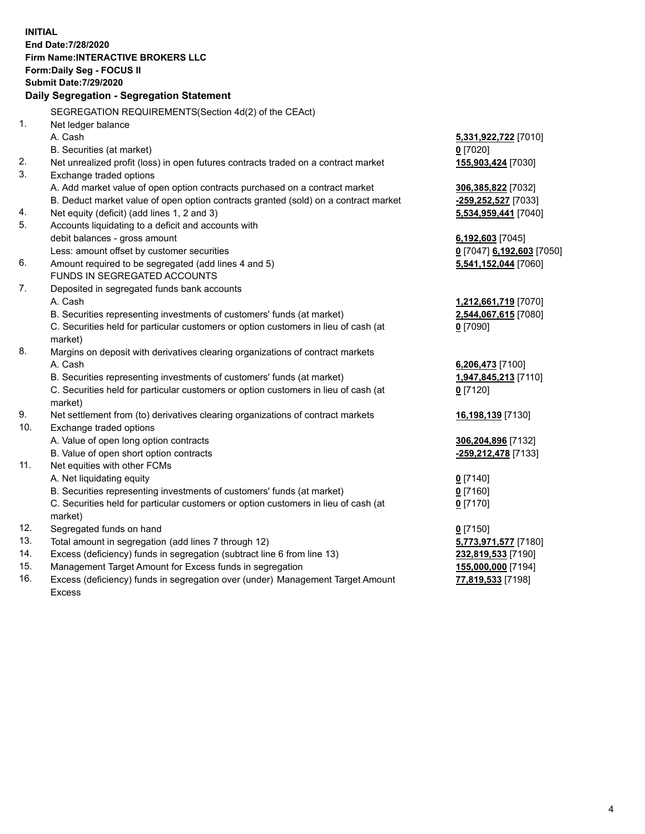**INITIAL End Date:7/28/2020 Firm Name:INTERACTIVE BROKERS LLC Form:Daily Seg - FOCUS II Submit Date:7/29/2020 Daily Segregation - Segregation Statement** SEGREGATION REQUIREMENTS(Section 4d(2) of the CEAct) 1. Net ledger balance A. Cash **5,331,922,722** [7010] B. Securities (at market) **0** [7020] 2. Net unrealized profit (loss) in open futures contracts traded on a contract market **155,903,424** [7030] 3. Exchange traded options A. Add market value of open option contracts purchased on a contract market **306,385,822** [7032] B. Deduct market value of open option contracts granted (sold) on a contract market **-259,252,527** [7033] 4. Net equity (deficit) (add lines 1, 2 and 3) **5,534,959,441** [7040] 5. Accounts liquidating to a deficit and accounts with debit balances - gross amount **6,192,603** [7045] Less: amount offset by customer securities **0** [7047] **6,192,603** [7050] 6. Amount required to be segregated (add lines 4 and 5) **5,541,152,044** [7060] FUNDS IN SEGREGATED ACCOUNTS 7. Deposited in segregated funds bank accounts A. Cash **1,212,661,719** [7070] B. Securities representing investments of customers' funds (at market) **2,544,067,615** [7080] C. Securities held for particular customers or option customers in lieu of cash (at market) **0** [7090] 8. Margins on deposit with derivatives clearing organizations of contract markets A. Cash **6,206,473** [7100] B. Securities representing investments of customers' funds (at market) **1,947,845,213** [7110] C. Securities held for particular customers or option customers in lieu of cash (at market) **0** [7120] 9. Net settlement from (to) derivatives clearing organizations of contract markets **16,198,139** [7130] 10. Exchange traded options A. Value of open long option contracts **306,204,896** [7132] B. Value of open short option contracts **-259,212,478** [7133] 11. Net equities with other FCMs A. Net liquidating equity **0** [7140] B. Securities representing investments of customers' funds (at market) **0** [7160] C. Securities held for particular customers or option customers in lieu of cash (at market) **0** [7170] 12. Segregated funds on hand **0** [7150] 13. Total amount in segregation (add lines 7 through 12) **5,773,971,577** [7180] 14. Excess (deficiency) funds in segregation (subtract line 6 from line 13) **232,819,533** [7190] 15. Management Target Amount for Excess funds in segregation **155,000,000** [7194]

16. Excess (deficiency) funds in segregation over (under) Management Target Amount Excess

**77,819,533** [7198]